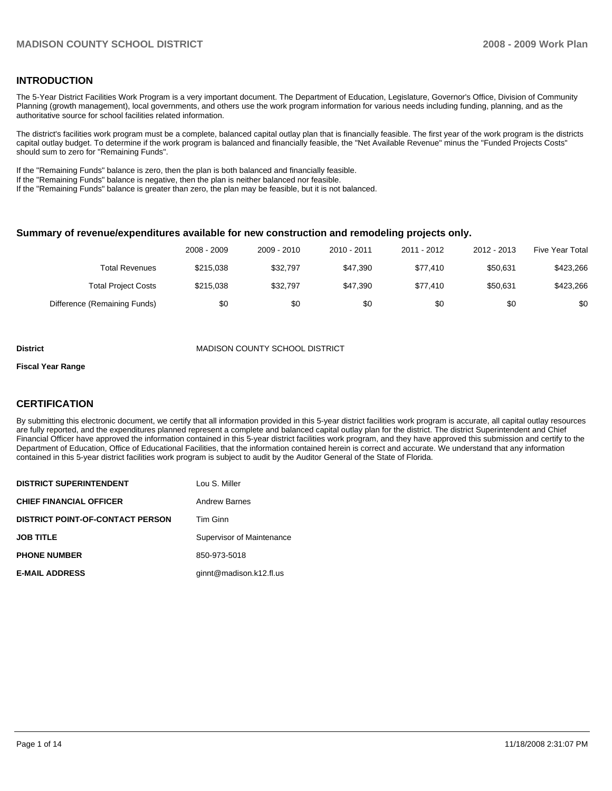## **INTRODUCTION**

The 5-Year District Facilities Work Program is a very important document. The Department of Education, Legislature, Governor's Office, Division of Community Planning (growth management), local governments, and others use the work program information for various needs including funding, planning, and as the authoritative source for school facilities related information.

The district's facilities work program must be a complete, balanced capital outlay plan that is financially feasible. The first year of the work program is the districts capital outlay budget. To determine if the work program is balanced and financially feasible, the "Net Available Revenue" minus the "Funded Projects Costs" should sum to zero for "Remaining Funds".

If the "Remaining Funds" balance is zero, then the plan is both balanced and financially feasible.

If the "Remaining Funds" balance is negative, then the plan is neither balanced nor feasible.

If the "Remaining Funds" balance is greater than zero, the plan may be feasible, but it is not balanced.

## **Summary of revenue/expenditures available for new construction and remodeling projects only.**

|                              | 2008 - 2009 | 2009 - 2010 | 2010 - 2011 | 2011 - 2012 | 2012 - 2013 | <b>Five Year Total</b> |
|------------------------------|-------------|-------------|-------------|-------------|-------------|------------------------|
| Total Revenues               | \$215,038   | \$32,797    | \$47.390    | \$77.410    | \$50.631    | \$423,266              |
| <b>Total Project Costs</b>   | \$215,038   | \$32,797    | \$47.390    | \$77.410    | \$50.631    | \$423,266              |
| Difference (Remaining Funds) | \$0         | \$0         | \$0         | \$0         | \$0         | \$0                    |

#### **District** MADISON COUNTY SCHOOL DISTRICT

#### **Fiscal Year Range**

## **CERTIFICATION**

By submitting this electronic document, we certify that all information provided in this 5-year district facilities work program is accurate, all capital outlay resources are fully reported, and the expenditures planned represent a complete and balanced capital outlay plan for the district. The district Superintendent and Chief Financial Officer have approved the information contained in this 5-year district facilities work program, and they have approved this submission and certify to the Department of Education, Office of Educational Facilities, that the information contained herein is correct and accurate. We understand that any information contained in this 5-year district facilities work program is subject to audit by the Auditor General of the State of Florida.

| <b>DISTRICT SUPERINTENDENT</b>          | Lou S. Miller             |
|-----------------------------------------|---------------------------|
| <b>CHIEF FINANCIAL OFFICER</b>          | <b>Andrew Barnes</b>      |
| <b>DISTRICT POINT-OF-CONTACT PERSON</b> | Tim Ginn                  |
| <b>JOB TITLE</b>                        | Supervisor of Maintenance |
| <b>PHONE NUMBER</b>                     | 850-973-5018              |
| <b>E-MAIL ADDRESS</b>                   | ginnt@madison.k12.fl.us   |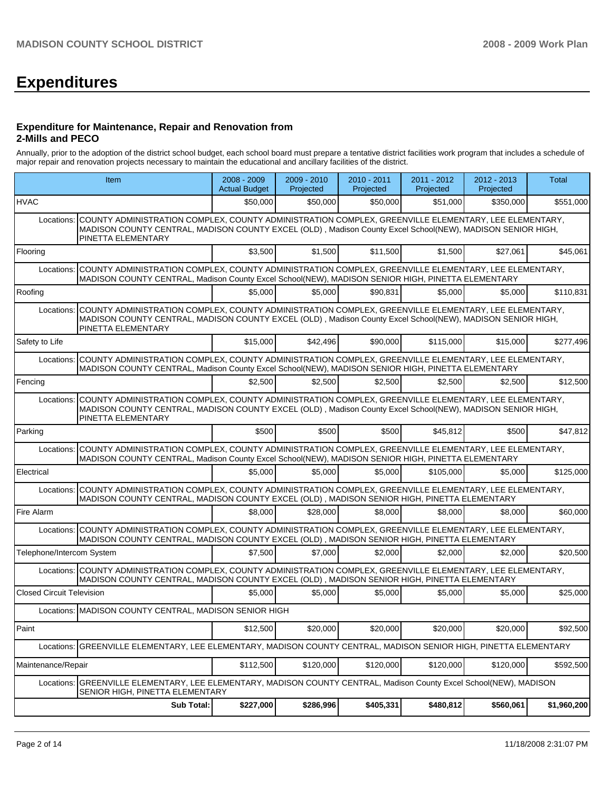# **Expenditures**

### **Expenditure for Maintenance, Repair and Renovation from 2-Mills and PECO**

Annually, prior to the adoption of the district school budget, each school board must prepare a tentative district facilities work program that includes a schedule of major repair and renovation projects necessary to maintain the educational and ancillary facilities of the district.

|                                  | Item                                                                                                                                                                                                                                     | 2008 - 2009<br><b>Actual Budget</b> | 2009 - 2010<br>Projected | 2010 - 2011<br>Projected | 2011 - 2012<br>Projected | 2012 - 2013<br>Projected | <b>Total</b> |
|----------------------------------|------------------------------------------------------------------------------------------------------------------------------------------------------------------------------------------------------------------------------------------|-------------------------------------|--------------------------|--------------------------|--------------------------|--------------------------|--------------|
| <b>HVAC</b>                      |                                                                                                                                                                                                                                          | \$50,000                            | \$50,000                 | \$50,000                 | \$51,000                 | \$350,000                | \$551,000    |
| Locations:                       | COUNTY ADMINISTRATION COMPLEX, COUNTY ADMINISTRATION COMPLEX, GREENVILLE ELEMENTARY, LEE ELEMENTARY,<br>MADISON COUNTY CENTRAL, MADISON COUNTY EXCEL (OLD), Madison County Excel School(NEW), MADISON SENIOR HIGH,<br>PINETTA ELEMENTARY |                                     |                          |                          |                          |                          |              |
| Flooring                         |                                                                                                                                                                                                                                          | \$3,500                             | \$1,500                  | \$11,500                 | \$1,500                  | \$27,061                 | \$45,061     |
| Locations:                       | COUNTY ADMINISTRATION COMPLEX, COUNTY ADMINISTRATION COMPLEX, GREENVILLE ELEMENTARY, LEE ELEMENTARY,<br>MADISON COUNTY CENTRAL, Madison County Excel School(NEW), MADISON SENIOR HIGH, PINETTA ELEMENTARY                                |                                     |                          |                          |                          |                          |              |
| Roofing                          |                                                                                                                                                                                                                                          | \$5,000                             | \$5,000                  | \$90,831                 | \$5,000                  | \$5,000                  | \$110,831    |
| Locations:                       | COUNTY ADMINISTRATION COMPLEX, COUNTY ADMINISTRATION COMPLEX, GREENVILLE ELEMENTARY, LEE ELEMENTARY,<br>MADISON COUNTY CENTRAL, MADISON COUNTY EXCEL (OLD), Madison County Excel School(NEW), MADISON SENIOR HIGH,<br>PINETTA ELEMENTARY |                                     |                          |                          |                          |                          |              |
| Safety to Life                   |                                                                                                                                                                                                                                          | \$15,000                            | \$42,496                 | \$90,000                 | \$115,000                | \$15,000                 | \$277,496    |
| Locations:                       | COUNTY ADMINISTRATION COMPLEX, COUNTY ADMINISTRATION COMPLEX, GREENVILLE ELEMENTARY, LEE ELEMENTARY,<br>MADISON COUNTY CENTRAL, Madison County Excel School(NEW), MADISON SENIOR HIGH, PINETTA ELEMENTARY                                |                                     |                          |                          |                          |                          |              |
| Fencing                          |                                                                                                                                                                                                                                          | \$2.500                             | \$2,500                  | \$2,500                  | \$2.500                  | \$2,500                  | \$12,500     |
| Locations:                       | COUNTY ADMINISTRATION COMPLEX, COUNTY ADMINISTRATION COMPLEX, GREENVILLE ELEMENTARY, LEE ELEMENTARY,<br>MADISON COUNTY CENTRAL, MADISON COUNTY EXCEL (OLD), Madison County Excel School(NEW), MADISON SENIOR HIGH,<br>PINETTA ELEMENTARY |                                     |                          |                          |                          |                          |              |
| Parking                          |                                                                                                                                                                                                                                          | \$500                               | \$500                    | \$500                    | \$45,812                 | \$500                    | \$47,812     |
| Locations:                       | COUNTY ADMINISTRATION COMPLEX, COUNTY ADMINISTRATION COMPLEX, GREENVILLE ELEMENTARY, LEE ELEMENTARY,<br>MADISON COUNTY CENTRAL, Madison County Excel School(NEW), MADISON SENIOR HIGH, PINETTA ELEMENTARY                                |                                     |                          |                          |                          |                          |              |
| Electrical                       |                                                                                                                                                                                                                                          | \$5,000                             | \$5,000                  | \$5,000                  | \$105,000                | \$5,000                  | \$125,000    |
| Locations:                       | COUNTY ADMINISTRATION COMPLEX, COUNTY ADMINISTRATION COMPLEX, GREENVILLE ELEMENTARY, LEE ELEMENTARY,<br>MADISON COUNTY CENTRAL, MADISON COUNTY EXCEL (OLD), MADISON SENIOR HIGH, PINETTA ELEMENTARY                                      |                                     |                          |                          |                          |                          |              |
| Fire Alarm                       |                                                                                                                                                                                                                                          | \$8,000                             | \$28,000                 | \$8,000                  | \$8,000                  | \$8,000                  | \$60,000     |
| Locations:                       | COUNTY ADMINISTRATION COMPLEX, COUNTY ADMINISTRATION COMPLEX, GREENVILLE ELEMENTARY, LEE ELEMENTARY,<br>MADISON COUNTY CENTRAL, MADISON COUNTY EXCEL (OLD), MADISON SENIOR HIGH, PINETTA ELEMENTARY                                      |                                     |                          |                          |                          |                          |              |
| Telephone/Intercom System        |                                                                                                                                                                                                                                          | \$7,500                             | \$7,000                  | \$2,000                  | \$2,000                  | \$2,000                  | \$20,500     |
| Locations:                       | COUNTY ADMINISTRATION COMPLEX, COUNTY ADMINISTRATION COMPLEX, GREENVILLE ELEMENTARY, LEE ELEMENTARY,<br>MADISON COUNTY CENTRAL, MADISON COUNTY EXCEL (OLD), MADISON SENIOR HIGH, PINETTA ELEMENTARY                                      |                                     |                          |                          |                          |                          |              |
| <b>Closed Circuit Television</b> |                                                                                                                                                                                                                                          | \$5.000                             | \$5,000                  | \$5,000                  | \$5,000                  | \$5,000                  | \$25,000     |
|                                  | Locations: MADISON COUNTY CENTRAL, MADISON SENIOR HIGH                                                                                                                                                                                   |                                     |                          |                          |                          |                          |              |
| Paint                            |                                                                                                                                                                                                                                          | \$12,500                            | \$20,000                 | \$20,000                 | \$20,000                 | \$20,000                 | \$92,500     |
| Locations:                       | GREENVILLE ELEMENTARY, LEE ELEMENTARY, MADISON COUNTY CENTRAL, MADISON SENIOR HIGH, PINETTA ELEMENTARY                                                                                                                                   |                                     |                          |                          |                          |                          |              |
| Maintenance/Repair               |                                                                                                                                                                                                                                          | \$112,500                           | \$120,000                | \$120,000                | \$120,000                | \$120,000                | \$592,500    |
| Locations:                       | GREENVILLE ELEMENTARY, LEE ELEMENTARY, MADISON COUNTY CENTRAL, Madison County Excel School(NEW), MADISON<br>SENIOR HIGH, PINETTA ELEMENTARY                                                                                              |                                     |                          |                          |                          |                          |              |
|                                  | Sub Total:                                                                                                                                                                                                                               | \$227,000                           | \$286,996                | \$405,331                | \$480,812                | \$560,061                | \$1,960,200  |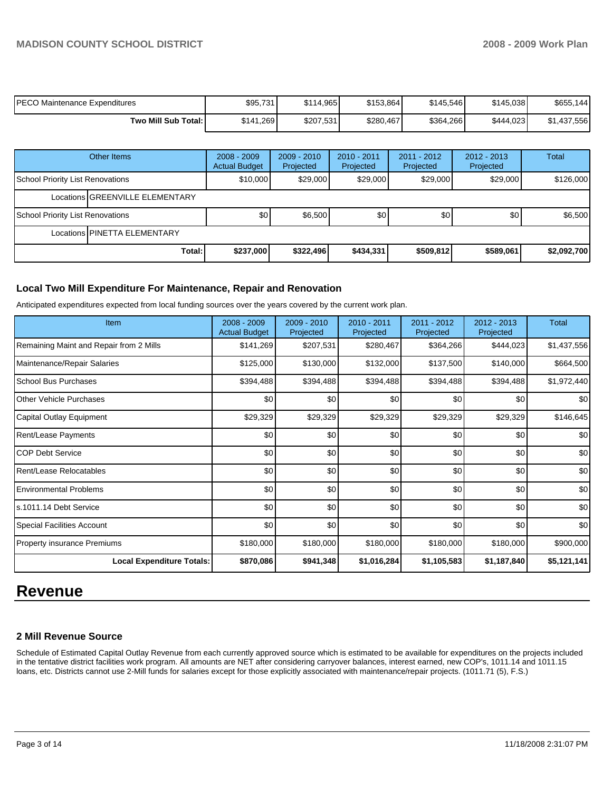| PECO Maintenance Expenditures | \$95,731  | \$114,965 | \$153,864 | \$145,546 | \$145.038 | \$655,144   |
|-------------------------------|-----------|-----------|-----------|-----------|-----------|-------------|
| Two Mill Sub Total:           | \$141.269 | \$207,531 | \$280,467 | \$364,266 | \$444.023 | \$1,437,556 |

|                                  | Other Items                     | $2008 - 2009$<br><b>Actual Budget</b> | $2009 - 2010$<br>Projected | $2010 - 2011$<br>Projected | 2011 - 2012<br>Projected | $2012 - 2013$<br>Projected | <b>Total</b> |  |  |
|----------------------------------|---------------------------------|---------------------------------------|----------------------------|----------------------------|--------------------------|----------------------------|--------------|--|--|
| School Priority List Renovations |                                 | \$10,000                              | \$29,000                   | \$29,000                   | \$29,000                 | \$29,000                   | \$126,000    |  |  |
|                                  | Locations GREENVILLE ELEMENTARY |                                       |                            |                            |                          |                            |              |  |  |
| School Priority List Renovations |                                 | \$0                                   | \$6,500                    | \$0 <sub>1</sub>           | \$0                      | \$0                        | \$6,500      |  |  |
|                                  | Locations PINETTA ELEMENTARY    |                                       |                            |                            |                          |                            |              |  |  |
|                                  | Total:                          | \$237,000                             | \$322,496                  | \$434,331                  | \$509,812                | \$589,061                  | \$2,092,700  |  |  |

## **Local Two Mill Expenditure For Maintenance, Repair and Renovation**

Anticipated expenditures expected from local funding sources over the years covered by the current work plan.

| <b>Item</b>                             | 2008 - 2009<br><b>Actual Budget</b> | 2009 - 2010<br>Projected | 2010 - 2011<br>Projected | 2011 - 2012<br>Projected | $2012 - 2013$<br>Projected | Total       |
|-----------------------------------------|-------------------------------------|--------------------------|--------------------------|--------------------------|----------------------------|-------------|
| Remaining Maint and Repair from 2 Mills | \$141,269                           | \$207,531                | \$280,467                | \$364,266                | \$444,023                  | \$1,437,556 |
| Maintenance/Repair Salaries             | \$125,000                           | \$130,000                | \$132,000                | \$137,500                | \$140,000                  | \$664,500   |
| School Bus Purchases                    | \$394,488                           | \$394,488                | \$394,488                | \$394,488                | \$394,488                  | \$1,972,440 |
| <b>IOther Vehicle Purchases</b>         | \$0                                 | \$0                      | \$0                      | \$0                      | \$0                        | \$0         |
| Capital Outlay Equipment                | \$29,329                            | \$29,329                 | \$29,329                 | \$29,329                 | \$29,329                   | \$146,645   |
| <b>Rent/Lease Payments</b>              | \$0                                 | \$0                      | \$0                      | \$0                      | \$0                        | \$0         |
| ICOP Debt Service                       | \$0                                 | \$0                      | \$0                      | \$0                      | \$0                        | \$0         |
| Rent/Lease Relocatables                 | \$0                                 | \$0                      | \$0                      | \$0                      | \$0                        | \$0         |
| Environmental Problems                  | \$0                                 | \$0                      | \$0                      | \$0                      | \$0                        | \$0         |
| ls.1011.14 Debt Service                 | \$0                                 | \$0                      | \$0                      | \$0                      | \$0                        | \$0         |
| Special Facilities Account              | \$0                                 | \$0                      | \$0                      | \$0                      | \$0                        | \$0         |
| <b>Property insurance Premiums</b>      | \$180,000                           | \$180,000                | \$180,000                | \$180,000                | \$180,000                  | \$900,000   |
| <b>Local Expenditure Totals:</b>        | \$870,086                           | \$941,348                | \$1,016,284              | \$1,105,583              | \$1,187,840                | \$5,121,141 |

# **Revenue**

## **2 Mill Revenue Source**

Schedule of Estimated Capital Outlay Revenue from each currently approved source which is estimated to be available for expenditures on the projects included in the tentative district facilities work program. All amounts are NET after considering carryover balances, interest earned, new COP's, 1011.14 and 1011.15 loans, etc. Districts cannot use 2-Mill funds for salaries except for those explicitly associated with maintenance/repair projects. (1011.71 (5), F.S.)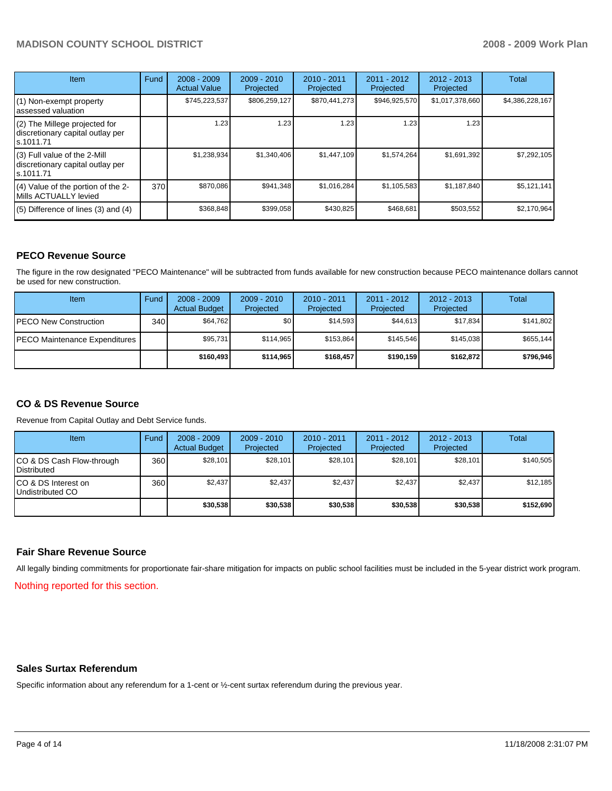# **MADISON COUNTY SCHOOL DISTRICT 2008 - 2009 Work Plan**

| <b>Item</b>                                                                    | Fund | $2008 - 2009$<br><b>Actual Value</b> | $2009 - 2010$<br>Projected | $2010 - 2011$<br>Projected | 2011 - 2012<br>Projected | $2012 - 2013$<br>Projected | Total           |
|--------------------------------------------------------------------------------|------|--------------------------------------|----------------------------|----------------------------|--------------------------|----------------------------|-----------------|
| (1) Non-exempt property<br>assessed valuation                                  |      | \$745,223,537                        | \$806,259,127              | \$870,441,273              | \$946,925,570            | \$1,017,378,660            | \$4,386,228,167 |
| (2) The Millege projected for<br>discretionary capital outlay per<br>s.1011.71 |      | 1.23                                 | 1.23                       | 1.23                       | 1.23                     | 1.23                       |                 |
| (3) Full value of the 2-Mill<br>discretionary capital outlay per<br>s.1011.71  |      | \$1,238,934                          | \$1,340,406                | \$1,447,109                | \$1,574,264              | \$1,691,392                | \$7,292,105     |
| (4) Value of the portion of the 2-<br>Mills ACTUALLY levied                    | 370  | \$870,086                            | \$941,348                  | \$1,016,284                | \$1,105,583              | \$1,187,840                | \$5,121,141     |
| $(5)$ Difference of lines $(3)$ and $(4)$                                      |      | \$368,848                            | \$399,058                  | \$430.825                  | \$468,681                | \$503,552                  | \$2,170,964     |

# **PECO Revenue Source**

The figure in the row designated "PECO Maintenance" will be subtracted from funds available for new construction because PECO maintenance dollars cannot be used for new construction.

| Item                                 | Fund | $2008 - 2009$<br><b>Actual Budget</b> | $2009 - 2010$<br>Projected | $2010 - 2011$<br>Projected | 2011 - 2012<br>Projected | $2012 - 2013$<br>Projected | Total     |
|--------------------------------------|------|---------------------------------------|----------------------------|----------------------------|--------------------------|----------------------------|-----------|
| <b>IPECO New Construction</b>        | 340  | \$64.762                              | \$0                        | \$14.593                   | \$44.613                 | \$17.834                   | \$141,802 |
| <b>PECO Maintenance Expenditures</b> |      | \$95,731                              | \$114,965                  | \$153.864                  | \$145.546                | \$145.038                  | \$655,144 |
|                                      |      | \$160,493                             | \$114.965                  | \$168,457                  | \$190.159                | \$162,872                  | \$796,946 |

# **CO & DS Revenue Source**

Revenue from Capital Outlay and Debt Service funds.

| <b>Item</b>                                        | Fund | $2008 - 2009$<br><b>Actual Budget</b> | $2009 - 2010$<br>Projected | $2010 - 2011$<br>Projected | $2011 - 2012$<br>Projected | $2012 - 2013$<br>Projected | Total     |
|----------------------------------------------------|------|---------------------------------------|----------------------------|----------------------------|----------------------------|----------------------------|-----------|
| ICO & DS Cash Flow-through<br><b>I</b> Distributed | 360  | \$28.101                              | \$28.101                   | \$28.101                   | \$28.101                   | \$28,101                   | \$140.505 |
| ICO & DS Interest on<br>Undistributed CO           | 360  | \$2.437                               | \$2.437                    | \$2.437                    | \$2.437                    | \$2.437                    | \$12.185  |
|                                                    |      | \$30,538                              | \$30.538                   | \$30,538                   | \$30,538                   | \$30,538                   | \$152,690 |

## **Fair Share Revenue Source**

All legally binding commitments for proportionate fair-share mitigation for impacts on public school facilities must be included in the 5-year district work program.

Nothing reported for this section.

### **Sales Surtax Referendum**

Specific information about any referendum for a 1-cent or ½-cent surtax referendum during the previous year.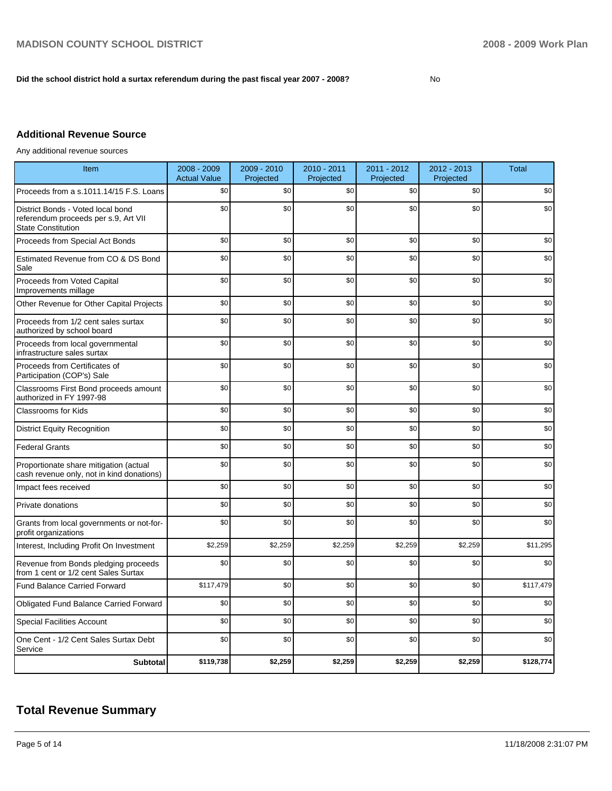## Did the school district hold a surtax referendum during the past fiscal year 2007 - 2008?

# **Additional Revenue Source**

Any additional revenue sources

| Item                                                                                                   | 2008 - 2009<br><b>Actual Value</b> | 2009 - 2010<br>Projected | 2010 - 2011<br>Projected | 2011 - 2012<br>Projected | 2012 - 2013<br>Projected | <b>Total</b> |
|--------------------------------------------------------------------------------------------------------|------------------------------------|--------------------------|--------------------------|--------------------------|--------------------------|--------------|
| Proceeds from a s.1011.14/15 F.S. Loans                                                                | \$0                                | \$0                      | \$0                      | \$0                      | \$0                      | \$0          |
| District Bonds - Voted local bond<br>referendum proceeds per s.9, Art VII<br><b>State Constitution</b> | \$0                                | \$0                      | \$0                      | \$0                      | \$0                      | \$0          |
| Proceeds from Special Act Bonds                                                                        | \$0                                | \$0                      | \$0                      | \$0                      | \$0                      | \$0          |
| Estimated Revenue from CO & DS Bond<br>Sale                                                            | \$0                                | \$0                      | \$0                      | \$0                      | \$0                      | \$0          |
| Proceeds from Voted Capital<br>Improvements millage                                                    | \$0                                | \$0                      | \$0                      | \$0                      | \$0                      | \$0          |
| Other Revenue for Other Capital Projects                                                               | \$0                                | \$0                      | \$0                      | \$0                      | \$0                      | \$0          |
| Proceeds from 1/2 cent sales surtax<br>authorized by school board                                      | \$0                                | \$0                      | \$0                      | \$0                      | \$0                      | \$0          |
| Proceeds from local governmental<br>infrastructure sales surtax                                        | \$0                                | \$0                      | \$0                      | \$0                      | \$0                      | \$0          |
| Proceeds from Certificates of<br>Participation (COP's) Sale                                            | \$0                                | \$0                      | \$0                      | \$0                      | \$0                      | \$0          |
| Classrooms First Bond proceeds amount<br>authorized in FY 1997-98                                      | \$0                                | \$0                      | \$0                      | \$0                      | \$0                      | \$0          |
| <b>Classrooms for Kids</b>                                                                             | \$0                                | \$0                      | \$0                      | \$0                      | \$0                      | \$0          |
| <b>District Equity Recognition</b>                                                                     | \$0                                | \$0                      | \$0                      | \$0                      | \$0                      | \$0          |
| <b>Federal Grants</b>                                                                                  | \$0                                | \$0                      | \$0                      | \$0                      | \$0                      | \$0          |
| Proportionate share mitigation (actual<br>cash revenue only, not in kind donations)                    | \$0                                | \$0                      | \$0                      | \$0                      | \$0                      | \$0          |
| Impact fees received                                                                                   | \$0                                | \$0                      | \$0                      | \$0                      | \$0                      | \$0          |
| Private donations                                                                                      | \$0                                | \$0                      | \$0                      | \$0                      | \$0                      | \$0          |
| Grants from local governments or not-for-<br>profit organizations                                      | \$0                                | \$0                      | \$0                      | \$0                      | \$0                      | \$0          |
| Interest, Including Profit On Investment                                                               | \$2,259                            | \$2,259                  | \$2,259                  | \$2,259                  | \$2,259                  | \$11,295     |
| Revenue from Bonds pledging proceeds<br>from 1 cent or 1/2 cent Sales Surtax                           | \$0                                | \$0                      | \$0                      | \$0                      | \$0                      | \$0          |
| <b>Fund Balance Carried Forward</b>                                                                    | \$117,479                          | \$0                      | \$0                      | \$0                      | \$0                      | \$117,479    |
| <b>Obligated Fund Balance Carried Forward</b>                                                          | \$0                                | \$0                      | \$0                      | \$0                      | \$0                      | \$0          |
| <b>Special Facilities Account</b>                                                                      | \$0                                | \$0                      | \$0                      | \$0                      | \$0                      | \$0          |
| One Cent - 1/2 Cent Sales Surtax Debt<br>Service                                                       | \$0                                | \$0                      | \$0                      | \$0                      | \$0                      | \$0          |
| <b>Subtotal</b>                                                                                        | \$119,738                          | \$2,259                  | \$2,259                  | \$2,259                  | \$2,259                  | \$128,774    |

# **Total Revenue Summary**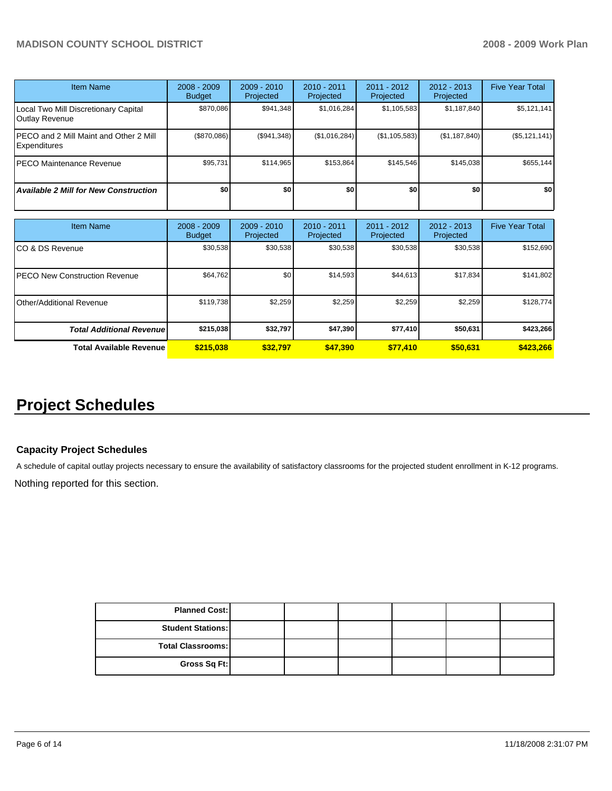# **MADISON COUNTY SCHOOL DISTRICT 2008 - 2009 Work Plan**

| <b>Item Name</b>                                       | $2008 - 2009$<br><b>Budget</b> | $2009 - 2010$<br>Projected | $2010 - 2011$<br><b>Projected</b> | $2011 - 2012$<br>Projected | $2012 - 2013$<br>Projected | <b>Five Year Total</b> |
|--------------------------------------------------------|--------------------------------|----------------------------|-----------------------------------|----------------------------|----------------------------|------------------------|
| Local Two Mill Discretionary Capital<br>Outlay Revenue | \$870,086                      | \$941,348                  | \$1,016,284                       | \$1,105,583                | \$1,187,840                | \$5,121,141            |
| PECO and 2 Mill Maint and Other 2 Mill<br>Expenditures | (S870.086)                     | (\$941,348)                | (\$1,016,284)                     | (\$1,105,583)              | (\$1,187,840)              | (\$5,121,141)          |
| PECO Maintenance Revenue                               | \$95.731                       | \$114.965                  | \$153.864                         | \$145.546                  | \$145.038                  | \$655.144              |
| <b>Available 2 Mill for New Construction</b>           | \$0                            | \$0                        | \$0                               | \$0                        | \$0                        | \$0                    |

| <b>Item Name</b>                      | $2008 - 2009$<br><b>Budget</b> | $2009 - 2010$<br>Projected | $2010 - 2011$<br>Projected | 2011 - 2012<br>Projected | $2012 - 2013$<br>Projected | <b>Five Year Total</b> |
|---------------------------------------|--------------------------------|----------------------------|----------------------------|--------------------------|----------------------------|------------------------|
| ICO & DS Revenue                      | \$30,538                       | \$30,538                   | \$30,538                   | \$30,538                 | \$30,538                   | \$152,690              |
| <b>IPECO New Construction Revenue</b> | \$64,762                       | \$0                        | \$14,593                   | \$44,613                 | \$17,834                   | \$141,802              |
| <b>IOther/Additional Revenue</b>      | \$119,738                      | \$2,259                    | \$2,259                    | \$2,259                  | \$2,259                    | \$128,774              |
| <b>Total Additional Revenuel</b>      | \$215,038                      | \$32,797                   | \$47,390                   | \$77,410                 | \$50,631                   | \$423,266              |
| <b>Total Available Revenue</b>        | \$215,038                      | \$32.797                   | \$47.390                   | \$77,410                 | \$50,631                   | \$423,266              |

# **Project Schedules**

## **Capacity Project Schedules**

A schedule of capital outlay projects necessary to ensure the availability of satisfactory classrooms for the projected student enrollment in K-12 programs.

Nothing reported for this section.

| <b>Planned Cost:</b>     |  |  |  |
|--------------------------|--|--|--|
| <b>Student Stations:</b> |  |  |  |
| <b>Total Classrooms:</b> |  |  |  |
| Gross Sq Ft:             |  |  |  |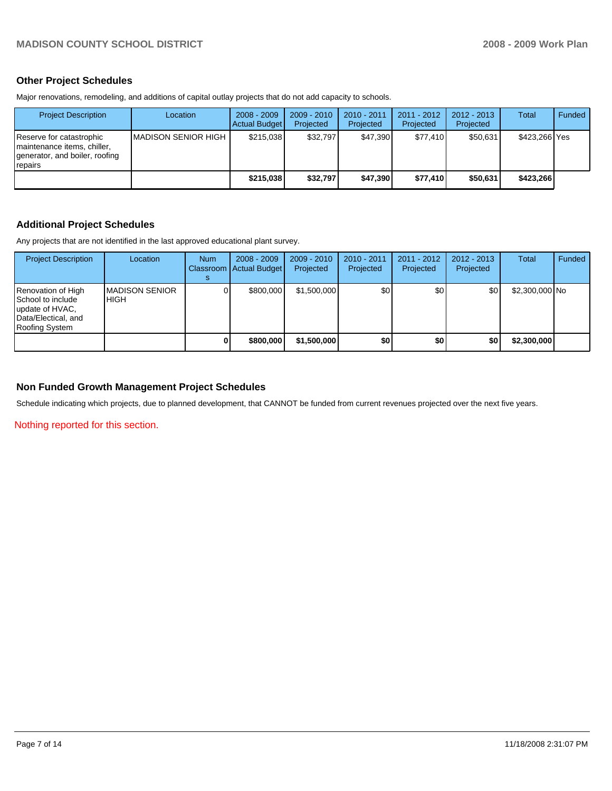# **Other Project Schedules**

Major renovations, remodeling, and additions of capital outlay projects that do not add capacity to schools.

| <b>Project Description</b>                                                                             | Location             | $2008 - 2009$<br>Actual Budget | $2009 - 2010$<br>Projected | 2010 - 2011<br>Projected | 2011 - 2012<br>Projected | $2012 - 2013$<br>Projected | Total         | Funded |
|--------------------------------------------------------------------------------------------------------|----------------------|--------------------------------|----------------------------|--------------------------|--------------------------|----------------------------|---------------|--------|
| Reserve for catastrophic<br>Imaintenance items, chiller,<br>generator, and boiler, roofing<br>Trepairs | IMADISON SENIOR HIGH | \$215.038                      | \$32.797                   | \$47.390                 | \$77.410                 | \$50.631                   | \$423,266 Yes |        |
|                                                                                                        |                      | \$215,038                      | \$32.797                   | \$47.390                 | \$77.410                 | \$50.631                   | \$423,266     |        |

## **Additional Project Schedules**

Any projects that are not identified in the last approved educational plant survey.

| <b>Project Description</b>                                                                          | Location                        | <b>Num</b> | $2008 - 2009$<br>Classroom   Actual Budget | $2009 - 2010$<br>Projected | 2010 - 2011<br>Projected | $2011 - 2012$<br>Projected | $2012 - 2013$<br>Projected | Total          | Funded |
|-----------------------------------------------------------------------------------------------------|---------------------------------|------------|--------------------------------------------|----------------------------|--------------------------|----------------------------|----------------------------|----------------|--------|
| Renovation of High<br>School to include<br>update of HVAC,<br>Data/Electical, and<br>Roofing System | <b>IMADISON SENIOR</b><br>IHIGH |            | \$800,000                                  | \$1,500,000                | \$0                      | \$0                        | \$0                        | \$2,300,000 No |        |
|                                                                                                     |                                 |            | \$800,000                                  | \$1,500,000                | \$0                      | \$0                        | \$0                        | \$2,300,000    |        |

## **Non Funded Growth Management Project Schedules**

Schedule indicating which projects, due to planned development, that CANNOT be funded from current revenues projected over the next five years.

Nothing reported for this section.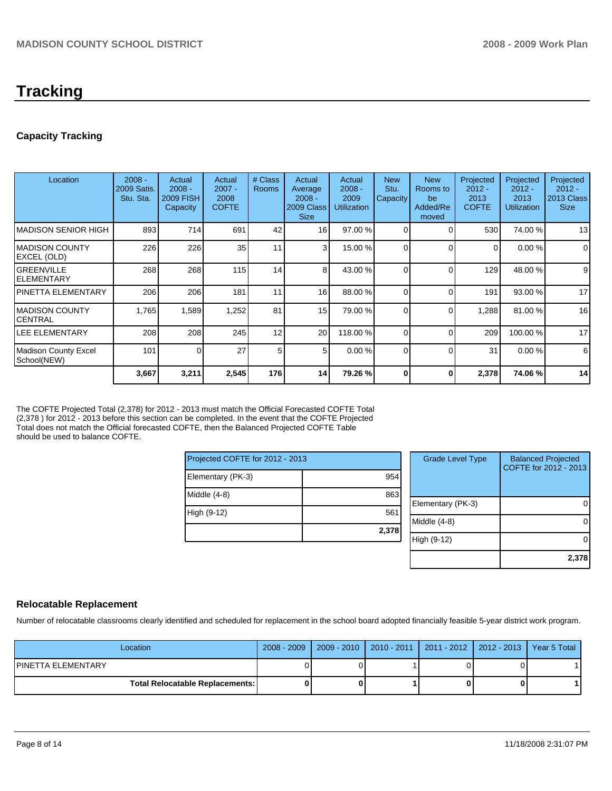# **Tracking**

# **Capacity Tracking**

| Location                               | $2008 -$<br>2009 Satis.<br>Stu. Sta. | Actual<br>$2008 -$<br><b>2009 FISH</b><br>Capacity | Actual<br>$2007 -$<br>2008<br><b>COFTE</b> | # Class<br><b>Rooms</b> | Actual<br>Average<br>$2008 -$<br>2009 Class<br><b>Size</b> | Actual<br>$2008 -$<br>2009<br><b>Utilization</b> | <b>New</b><br>Stu.<br><b>Capacity</b> | <b>New</b><br>Rooms to<br>be<br>Added/Re<br>moved | Projected<br>$2012 -$<br>2013<br><b>COFTE</b> | Projected<br>$2012 -$<br>2013<br><b>Utilization</b> | Projected<br>$2012 -$<br>2013 Class<br><b>Size</b> |
|----------------------------------------|--------------------------------------|----------------------------------------------------|--------------------------------------------|-------------------------|------------------------------------------------------------|--------------------------------------------------|---------------------------------------|---------------------------------------------------|-----------------------------------------------|-----------------------------------------------------|----------------------------------------------------|
| IMADISON SENIOR HIGH                   | 893                                  | 714                                                | 691                                        | 42                      | 16                                                         | 97.00 %                                          | 0                                     |                                                   | 530                                           | 74.00 %                                             | 13                                                 |
| IMADISON COUNTY<br>EXCEL (OLD)         | 226                                  | 226                                                | 35                                         | 11                      | $\overline{3}$                                             | 15.00 %                                          | $\Omega$                              | $\Omega$                                          | 0                                             | 0.00%                                               | 0                                                  |
| <b>GREENVILLE</b><br><b>ELEMENTARY</b> | 268                                  | 268                                                | 115                                        | 14                      | 8                                                          | 43.00 %                                          | 0                                     | $\Omega$                                          | 129                                           | 48.00 %                                             | 9                                                  |
| <b>PINETTA ELEMENTARY</b>              | 206                                  | 206                                                | 181                                        | 11                      | 16                                                         | 88.00 %                                          | 0                                     | $\Omega$                                          | 191                                           | 93.00 %                                             | 17                                                 |
| IMADISON COUNTY<br><b>CENTRAL</b>      | 1,765                                | 1,589                                              | 1,252                                      | 81                      | 15                                                         | 79.00 %                                          | 0                                     | $\Omega$                                          | 1,288                                         | 81.00 %                                             | 16                                                 |
| LEE ELEMENTARY                         | 208                                  | 208                                                | 245                                        | 12                      | 20                                                         | 118.00 %                                         | 0                                     | $\Omega$                                          | 209                                           | 100.00 %                                            | 17                                                 |
| Madison County Excel<br>School(NEW)    | 101                                  | $\Omega$                                           | 27                                         | 5                       | 5                                                          | $0.00\%$                                         | $\Omega$                              | $\Omega$                                          | 31                                            | 0.00%                                               | 6                                                  |
|                                        | 3,667                                | 3,211                                              | 2,545                                      | 176                     | 14                                                         | 79.26 %                                          | 0                                     | 0                                                 | 2,378                                         | 74.06 %                                             | 14                                                 |

The COFTE Projected Total (2,378) for 2012 - 2013 must match the Official Forecasted COFTE Total (2,378 ) for 2012 - 2013 before this section can be completed. In the event that the COFTE Projected Total does not match the Official forecasted COFTE, then the Balanced Projected COFTE Table should be used to balance COFTE.

| Projected COFTE for 2012 - 2013 |       |
|---------------------------------|-------|
| Elementary (PK-3)               | 954   |
| Middle (4-8)                    | 863   |
| High (9-12)                     | 561   |
|                                 | 2,378 |

| <b>Grade Level Type</b> | <b>Balanced Projected</b><br>COFTE for 2012 - 2013 |
|-------------------------|----------------------------------------------------|
| Elementary (PK-3)       |                                                    |
| Middle (4-8)            |                                                    |
| High (9-12)             |                                                    |
|                         | 2,378                                              |

# **Relocatable Replacement**

Number of relocatable classrooms clearly identified and scheduled for replacement in the school board adopted financially feasible 5-year district work program.

| Location                                 |  |  | 2008 - 2009   2009 - 2010   2010 - 2011   2011 - 2012   2012 - 2013   Year 5 Total |
|------------------------------------------|--|--|------------------------------------------------------------------------------------|
| IPINETTA ELEMENTARY                      |  |  |                                                                                    |
| <b>Total Relocatable Replacements: I</b> |  |  |                                                                                    |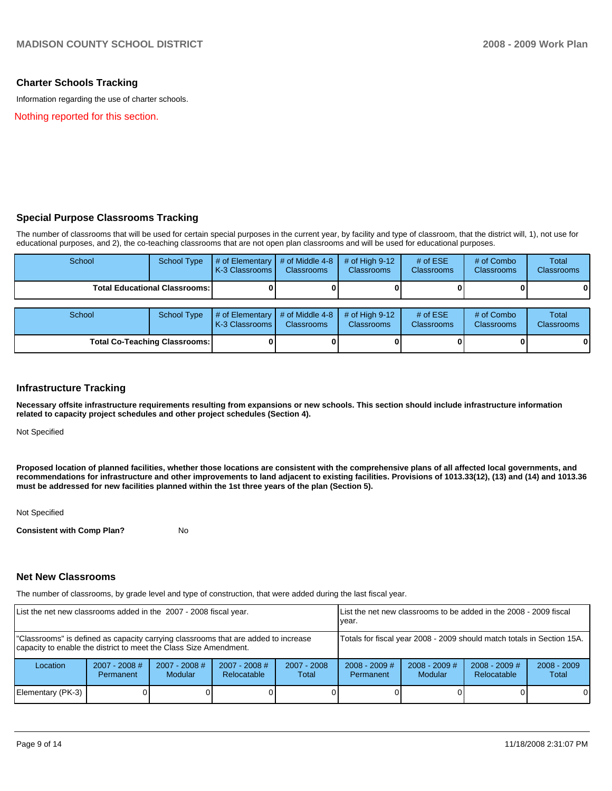## **Charter Schools Tracking**

Information regarding the use of charter schools.

Nothing reported for this section.

# **Special Purpose Classrooms Tracking**

The number of classrooms that will be used for certain special purposes in the current year, by facility and type of classroom, that the district will, 1), not use for educational purposes, and 2), the co-teaching classrooms that are not open plan classrooms and will be used for educational purposes.

| School                               | <b>School Type</b>                   | # of Elementary<br>K-3 Classrooms | # of Middle 4-8<br><b>Classrooms</b> | $#$ of High 9-12<br><b>Classrooms</b> | # of $ESE$<br>Classrooms | # of Combo<br><b>Classrooms</b> | Total<br><b>Classrooms</b> |
|--------------------------------------|--------------------------------------|-----------------------------------|--------------------------------------|---------------------------------------|--------------------------|---------------------------------|----------------------------|
|                                      | <b>Total Educational Classrooms:</b> |                                   |                                      |                                       |                          |                                 | 01                         |
| School                               | <b>School Type</b>                   | # of Elementary<br>K-3 Classrooms | # of Middle 4-8<br><b>Classrooms</b> | # of High $9-12$<br><b>Classrooms</b> | # of $ESE$<br>Classrooms | # of Combo<br><b>Classrooms</b> | Total<br><b>Classrooms</b> |
| <b>Total Co-Teaching Classrooms:</b> |                                      |                                   |                                      |                                       |                          | 0                               | 01                         |

## **Infrastructure Tracking**

**Necessary offsite infrastructure requirements resulting from expansions or new schools. This section should include infrastructure information related to capacity project schedules and other project schedules (Section 4).** 

Not Specified

**Proposed location of planned facilities, whether those locations are consistent with the comprehensive plans of all affected local governments, and recommendations for infrastructure and other improvements to land adjacent to existing facilities. Provisions of 1013.33(12), (13) and (14) and 1013.36 must be addressed for new facilities planned within the 1st three years of the plan (Section 5).** 

Not Specified

**Consistent with Comp Plan?** No

### **Net New Classrooms**

The number of classrooms, by grade level and type of construction, that were added during the last fiscal year.

| List the net new classrooms added in the 2007 - 2008 fiscal year.                                                                                       | List the net new classrooms to be added in the 2008 - 2009 fiscal<br>vear. |                                   |                                |                        |                              |                                   |                                |                        |
|---------------------------------------------------------------------------------------------------------------------------------------------------------|----------------------------------------------------------------------------|-----------------------------------|--------------------------------|------------------------|------------------------------|-----------------------------------|--------------------------------|------------------------|
| "Classrooms" is defined as capacity carrying classrooms that are added to increase<br>capacity to enable the district to meet the Class Size Amendment. | Totals for fiscal year 2008 - 2009 should match totals in Section 15A.     |                                   |                                |                        |                              |                                   |                                |                        |
| Location                                                                                                                                                | $2007 - 2008$ #<br>Permanent                                               | $2007 - 2008$ #<br><b>Modular</b> | $2007 - 2008$ #<br>Relocatable | $2007 - 2008$<br>Total | $2008 - 2009$ #<br>Permanent | $2008 - 2009$ #<br><b>Modular</b> | $2008 - 2009$ #<br>Relocatable | $2008 - 2009$<br>Total |
| Elementary (PK-3)                                                                                                                                       |                                                                            |                                   |                                |                        |                              |                                   |                                | $\Omega$               |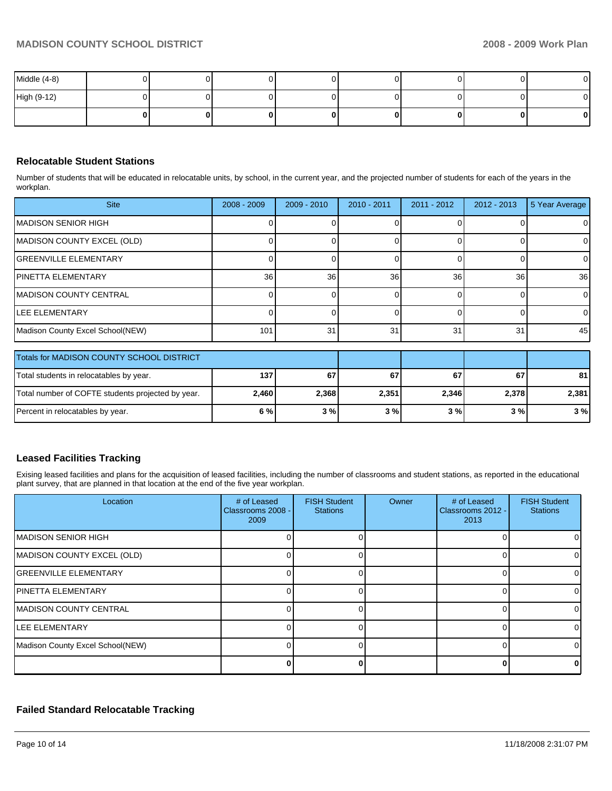| Middle (4-8) |  |   |  | 0            |
|--------------|--|---|--|--------------|
| High (9-12)  |  |   |  | 01           |
|              |  | 0 |  | $\mathbf{0}$ |

# **Relocatable Student Stations**

Number of students that will be educated in relocatable units, by school, in the current year, and the projected number of students for each of the years in the workplan.

| <b>Site</b>                      | $2008 - 2009$   | $2009 - 2010$ | $2010 - 2011$ | $2011 - 2012$ | $2012 - 2013$ | 5 Year Average |
|----------------------------------|-----------------|---------------|---------------|---------------|---------------|----------------|
| IMADISON SENIOR HIGH             |                 |               |               |               |               |                |
| MADISON COUNTY EXCEL (OLD)       |                 |               |               |               |               |                |
| <b>GREENVILLE ELEMENTARY</b>     |                 |               |               |               |               | 01             |
| <b>IPINETTA ELEMENTARY</b>       | 36 <sup>1</sup> | 36            | 36            | 36            | 36            | 36             |
| <b>IMADISON COUNTY CENTRAL</b>   |                 |               |               |               |               | 01             |
| <b>ILEE ELEMENTARY</b>           |                 |               |               |               |               | $\Omega$       |
| Madison County Excel School(NEW) | 101             | 31            | 31            | 31            | 31            | 45             |

| Totals for MADISON COUNTY SCHOOL DISTRICT         |       |       |       |       |       |       |
|---------------------------------------------------|-------|-------|-------|-------|-------|-------|
| Total students in relocatables by year.           | 137   | 67    | 67    | 67    | 67    | 81    |
| Total number of COFTE students projected by year. | 2.460 | 2.368 | 2,351 | 2,346 | 2.378 | 2,381 |
| Percent in relocatables by year.                  | 6%    | 3%    | 3%    | 3 % I | 3 % I | 3%    |

# **Leased Facilities Tracking**

Exising leased facilities and plans for the acquisition of leased facilities, including the number of classrooms and student stations, as reported in the educational plant survey, that are planned in that location at the end of the five year workplan.

| Location                         | # of Leased<br>Classrooms 2008 -<br>2009 | <b>FISH Student</b><br><b>Stations</b> | Owner | # of Leased<br>Classrooms 2012 -<br>2013 | <b>FISH Student</b><br><b>Stations</b> |
|----------------------------------|------------------------------------------|----------------------------------------|-------|------------------------------------------|----------------------------------------|
| MADISON SENIOR HIGH              |                                          |                                        |       |                                          |                                        |
| MADISON COUNTY EXCEL (OLD)       |                                          |                                        |       | ŋ                                        |                                        |
| IGREENVILLE ELEMENTARY           |                                          |                                        |       | $\Omega$                                 |                                        |
| IPINETTA ELEMENTARY              |                                          |                                        |       |                                          |                                        |
| IMADISON COUNTY CENTRAL          |                                          |                                        |       |                                          |                                        |
| LEE ELEMENTARY                   |                                          |                                        |       |                                          |                                        |
| Madison County Excel School(NEW) |                                          |                                        |       |                                          |                                        |
|                                  |                                          |                                        |       |                                          |                                        |

# **Failed Standard Relocatable Tracking**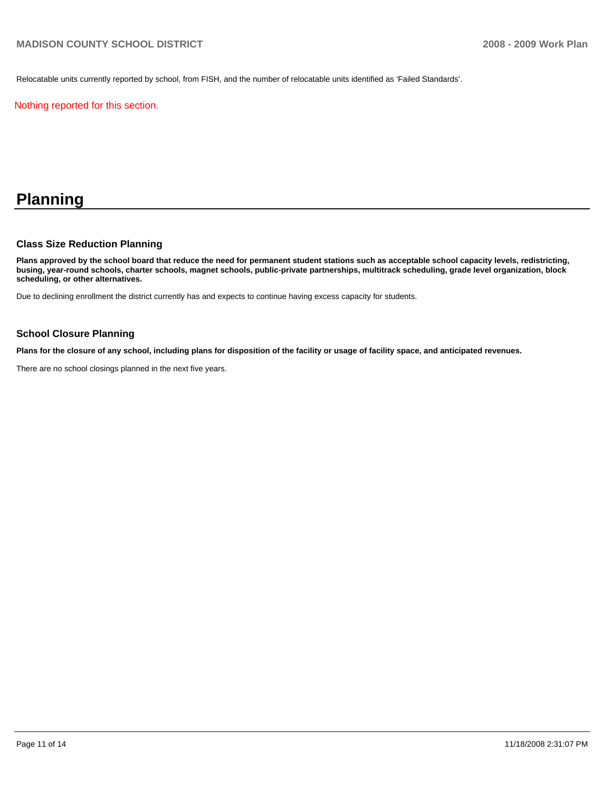Relocatable units currently reported by school, from FISH, and the number of relocatable units identified as 'Failed Standards'.

Nothing reported for this section.

# **Planning**

## **Class Size Reduction Planning**

**Plans approved by the school board that reduce the need for permanent student stations such as acceptable school capacity levels, redistricting, busing, year-round schools, charter schools, magnet schools, public-private partnerships, multitrack scheduling, grade level organization, block scheduling, or other alternatives.** 

Due to declining enrollment the district currently has and expects to continue having excess capacity for students.

## **School Closure Planning**

**Plans for the closure of any school, including plans for disposition of the facility or usage of facility space, and anticipated revenues.** 

There are no school closings planned in the next five years.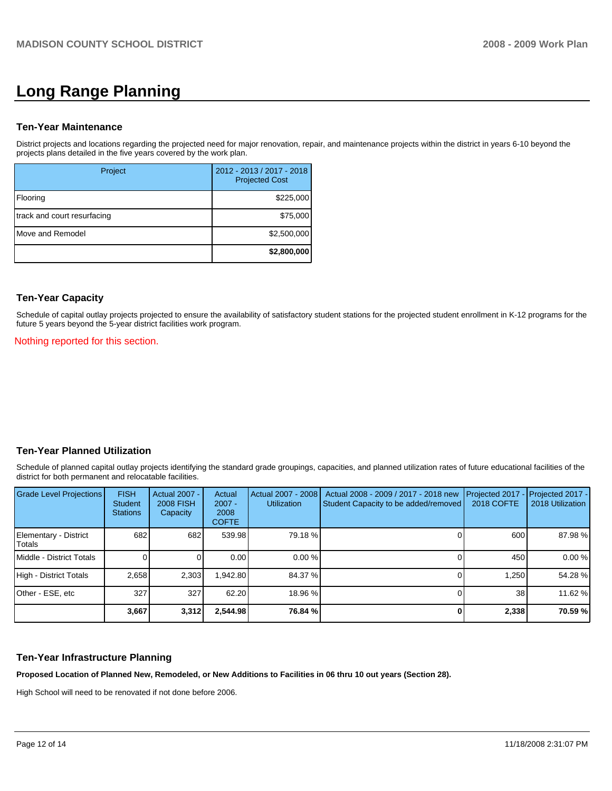# **Long Range Planning**

## **Ten-Year Maintenance**

District projects and locations regarding the projected need for major renovation, repair, and maintenance projects within the district in years 6-10 beyond the projects plans detailed in the five years covered by the work plan.

| Project                     | 2012 - 2013 / 2017 - 2018<br><b>Projected Cost</b> |
|-----------------------------|----------------------------------------------------|
| Flooring                    | \$225,000                                          |
| track and court resurfacing | \$75,000                                           |
| Move and Remodel            | \$2,500,000                                        |
|                             | \$2,800,000                                        |

### **Ten-Year Capacity**

Schedule of capital outlay projects projected to ensure the availability of satisfactory student stations for the projected student enrollment in K-12 programs for the future 5 years beyond the 5-year district facilities work program.

Nothing reported for this section.

# **Ten-Year Planned Utilization**

Schedule of planned capital outlay projects identifying the standard grade groupings, capacities, and planned utilization rates of future educational facilities of the district for both permanent and relocatable facilities.

| <b>Grade Level Projections</b>         | <b>FISH</b><br>Student<br><b>Stations</b> | Actual 2007 -<br><b>2008 FISH</b><br>Capacity | Actual<br>$2007 -$<br>2008<br><b>COFTE</b> | Actual 2007 - 2008<br>Utilization | Actual 2008 - 2009 / 2017 - 2018 new<br>Student Capacity to be added/removed | Projected 2017<br>2018 COFTE | Projected 2017 -<br>2018 Utilization |
|----------------------------------------|-------------------------------------------|-----------------------------------------------|--------------------------------------------|-----------------------------------|------------------------------------------------------------------------------|------------------------------|--------------------------------------|
| Elementary - District<br><b>Totals</b> | 682                                       | 682                                           | 539.98                                     | 79.18 %                           |                                                                              | 600                          | 87.98 %                              |
| Middle - District Totals               |                                           |                                               | 0.00                                       | 0.00%                             |                                                                              | 450                          | 0.00%                                |
| High - District Totals                 | 2.658                                     | 2,303                                         | 942.80                                     | 84.37 %                           |                                                                              | 1.250                        | 54.28 %                              |
| Other - ESE, etc                       | 327                                       | 327                                           | 62.20                                      | 18.96 %                           |                                                                              | 38                           | 11.62 %                              |
|                                        | 3,667                                     | 3,312                                         | 2,544.98                                   | 76.84 %                           |                                                                              | 2,338                        | 70.59 %                              |

## **Ten-Year Infrastructure Planning**

**Proposed Location of Planned New, Remodeled, or New Additions to Facilities in 06 thru 10 out years (Section 28).** 

High School will need to be renovated if not done before 2006.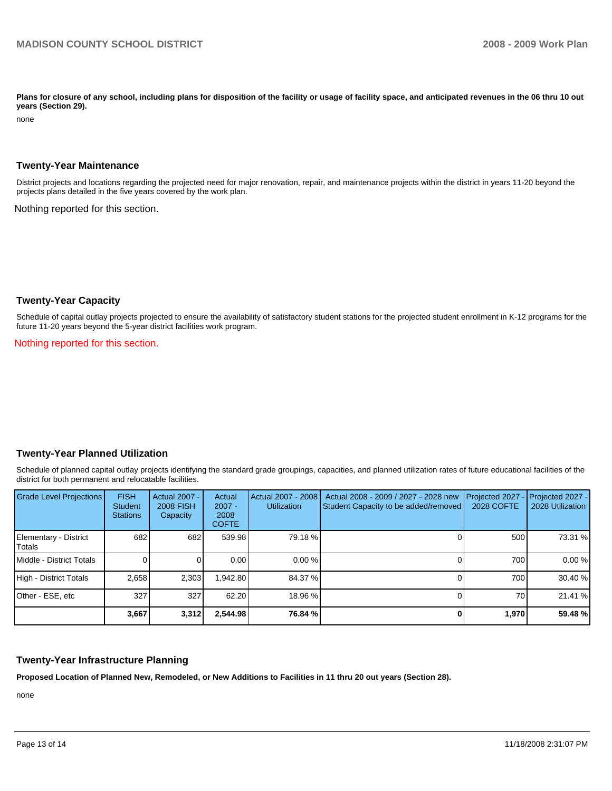Plans for closure of any school, including plans for disposition of the facility or usage of facility space, and anticipated revenues in the 06 thru 10 out **years (Section 29).** 

none

### **Twenty-Year Maintenance**

District projects and locations regarding the projected need for major renovation, repair, and maintenance projects within the district in years 11-20 beyond the projects plans detailed in the five years covered by the work plan.

Nothing reported for this section.

### **Twenty-Year Capacity**

Schedule of capital outlay projects projected to ensure the availability of satisfactory student stations for the projected student enrollment in K-12 programs for the future 11-20 years beyond the 5-year district facilities work program.

Nothing reported for this section.

### **Twenty-Year Planned Utilization**

Schedule of planned capital outlay projects identifying the standard grade groupings, capacities, and planned utilization rates of future educational facilities of the district for both permanent and relocatable facilities.

| <b>Grade Level Projections</b>    | <b>FISH</b><br><b>Student</b><br><b>Stations</b> | <b>Actual 2007 -</b><br><b>2008 FISH</b><br>Capacity | Actual<br>$2007 -$<br>2008<br><b>COFTE</b> | Actual 2007 - 2008<br><b>Utilization</b> | Actual 2008 - 2009 / 2027 - 2028 new<br>Student Capacity to be added/removed | Projected 2027<br>2028 COFTE | $\lceil$ Projected 2027 -<br>2028 Utilization |
|-----------------------------------|--------------------------------------------------|------------------------------------------------------|--------------------------------------------|------------------------------------------|------------------------------------------------------------------------------|------------------------------|-----------------------------------------------|
| Elementary - District<br>l Totals | 682                                              | 682                                                  | 539.98                                     | 79.18 %                                  |                                                                              | 500                          | 73.31 %                                       |
| <b>IMiddle - District Totals</b>  |                                                  |                                                      | 0.00                                       | 0.00%                                    |                                                                              | 700                          | 0.00%                                         |
| High - District Totals            | 2.658                                            | 2.303                                                | .942.80                                    | 84.37 %                                  |                                                                              | 700                          | 30.40 %                                       |
| Other - ESE, etc                  | 327                                              | 327                                                  | 62.20                                      | 18.96 %                                  |                                                                              | 70                           | 21.41 %                                       |
|                                   | 3,667                                            | 3,312                                                | 2.544.98                                   | 76.84 %                                  |                                                                              | 1.970                        | 59.48 %                                       |

## **Twenty-Year Infrastructure Planning**

**Proposed Location of Planned New, Remodeled, or New Additions to Facilities in 11 thru 20 out years (Section 28).** 

none